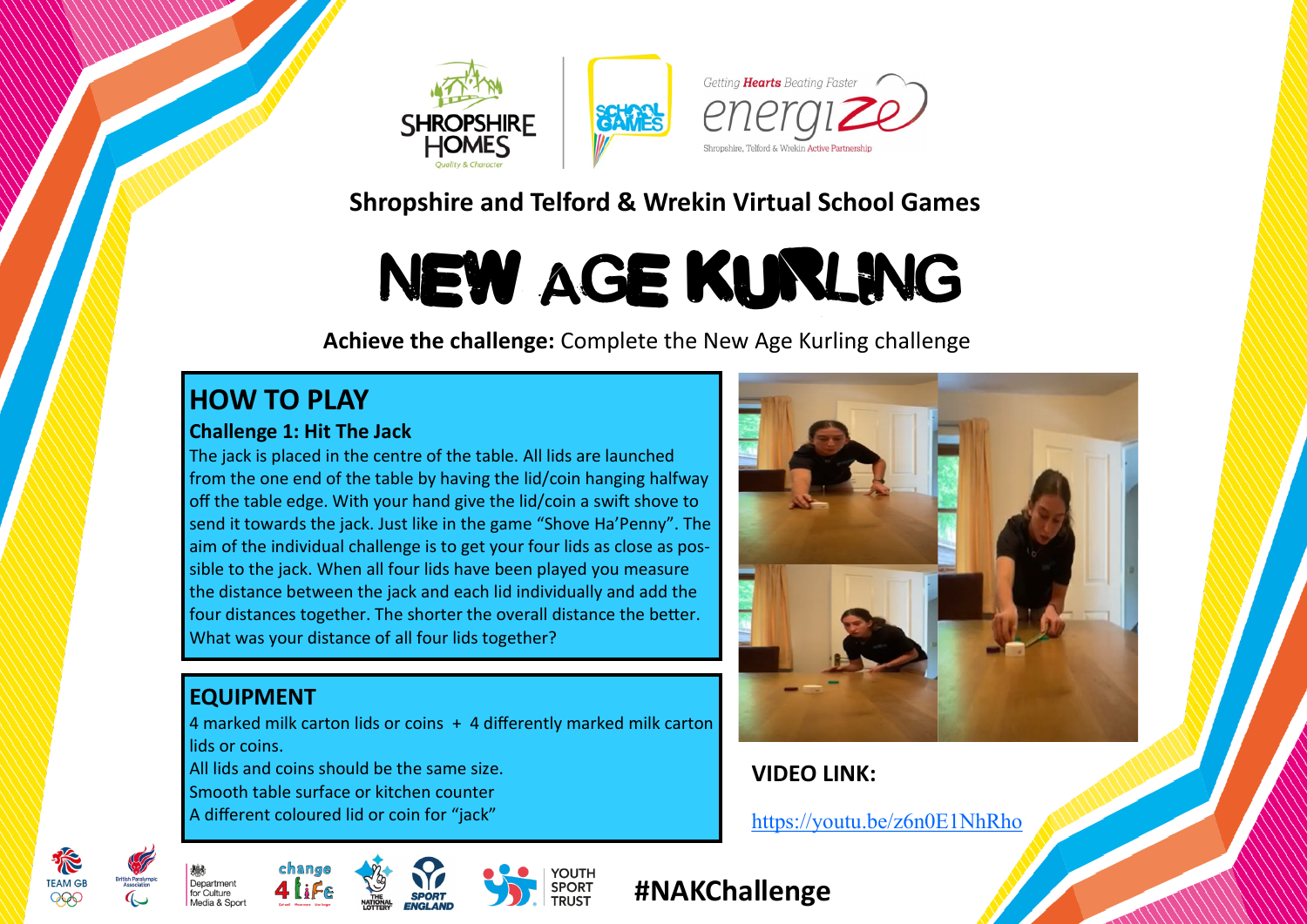

## **Shropshire and Telford & Wrekin Virtual School Games**

# NEW AGE KURLING

**Achieve the challenge:** Complete the New Age Kurling challenge

## **HOW TO PLAY**

#### **Challenge 1: Hit The Jack**

The jack is placed in the centre of the table. All lids are launched from the one end of the table by having the lid/coin hanging halfway off the table edge. With your hand give the lid/coin a swift shove to send it towards the jack. Just like in the game "Shove Ha'Penny". The aim of the individual challenge is to get your four lids as close as possible to the jack. When all four lids have been played you measure the distance between the jack and each lid individually and add the four distances together. The shorter the overall distance the better. What was your distance of all four lids together?

## **EQUIPMENT**

4 marked milk carton lids or coins + 4 differently marked milk carton lids or coins. All lids and coins should be the same size. Smooth table surface or kitchen counter

A different coloured lid or coin for "jack"



## **VIDEO LINK:**

<https://youtu.be/z6n0E1NhRho>









## **#NAKChallenge**